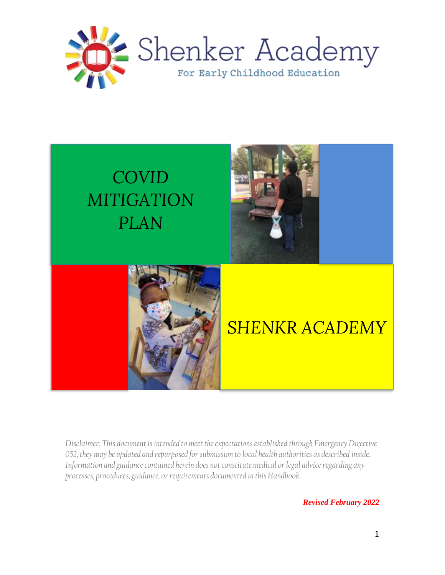

# *COVID MITIGATION PLAN*

֦





# *SHENKR ACADEMY*

*Disclaimer: This document is intended to meet the expectations established through Emergency Directive*  052, they may be updated and repurposed for submission to local health authorities as described inside. *Information and guidance contained herein does not constitute medical or legal advice regarding any processes, procedures, guidance, or requirements documented in this Handbook.*

*Revised February 2022*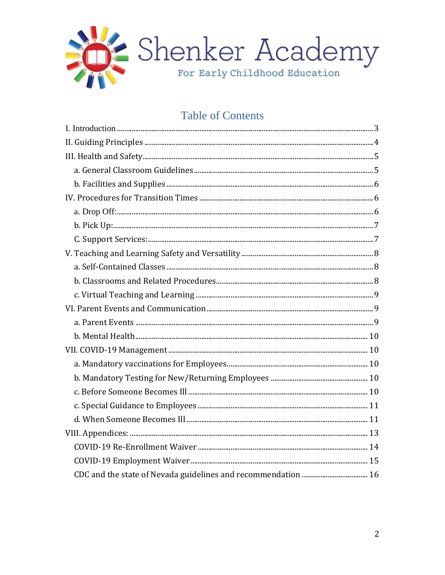

### **Table of Contents**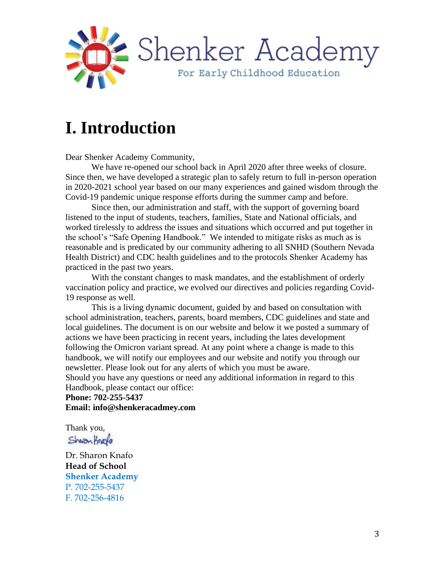

## **I. Introduction**

Dear Shenker Academy Community,

We have re-opened our school back in April 2020 after three weeks of closure. Since then, we have developed a strategic plan to safely return to full in-person operation in 2020-2021 school year based on our many experiences and gained wisdom through the Covid-19 pandemic unique response efforts during the summer camp and before.

Since then, our administration and staff, with the support of governing board listened to the input of students, teachers, families, State and National officials, and worked tirelessly to address the issues and situations which occurred and put together in the school's "Safe Opening Handbook." We intended to mitigate risks as much as is reasonable and is predicated by our community adhering to all SNHD (Southern Nevada Health District) and CDC health guidelines and to the protocols Shenker Academy has practiced in the past two years.

With the constant changes to mask mandates, and the establishment of orderly vaccination policy and practice, we evolved our directives and policies regarding Covid-19 response as well.

This is a living dynamic document, guided by and based on consultation with school administration, teachers, parents, board members, CDC guidelines and state and local guidelines. The document is on our website and below it we posted a summary of actions we have been practicing in recent years, including the lates development following the Omicron variant spread. At any point where a change is made to this handbook, we will notify our employees and our website and notify you through our newsletter. Please look out for any alerts of which you must be aware.

Should you have any questions or need any additional information in regard to this Handbook, please contact our office:

**Phone: 702-255-5437 Email: info@shenkeracadmey.com**

Thank you,

Sharonfrage

Dr. Sharon Knafo **Head of School Shenker Academy** P. 702-255-5437 F. 702-256-4816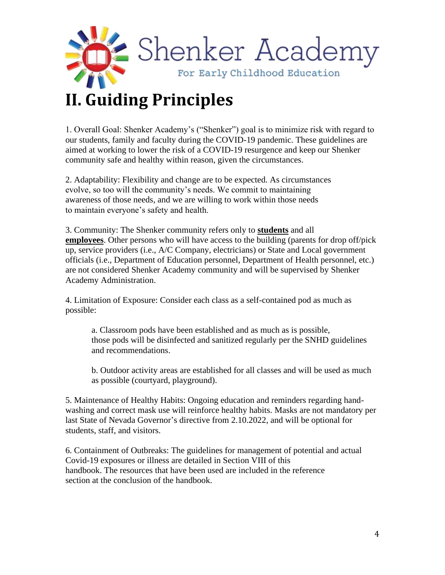

## **II. Guiding Principles**

1. Overall Goal: Shenker Academy's ("Shenker") goal is to minimize risk with regard to our students, family and faculty during the COVID-19 pandemic. These guidelines are aimed at working to lower the risk of a COVID-19 resurgence and keep our Shenker community safe and healthy within reason, given the circumstances.

2. Adaptability: Flexibility and change are to be expected. As circumstances evolve, so too will the community's needs. We commit to maintaining awareness of those needs, and we are willing to work within those needs to maintain everyone's safety and health.

3. Community: The Shenker community refers only to **students** and all **employees**. Other persons who will have access to the building (parents for drop off/pick up, service providers (i.e., A/C Company, electricians) or State and Local government officials (i.e., Department of Education personnel, Department of Health personnel, etc.) are not considered Shenker Academy community and will be supervised by Shenker Academy Administration.

4. Limitation of Exposure: Consider each class as a self-contained pod as much as possible:

a. Classroom pods have been established and as much as is possible, those pods will be disinfected and sanitized regularly per the SNHD guidelines and recommendations.

b. Outdoor activity areas are established for all classes and will be used as much as possible (courtyard, playground).

5. Maintenance of Healthy Habits: Ongoing education and reminders regarding handwashing and correct mask use will reinforce healthy habits. Masks are not mandatory per last State of Nevada Governor's directive from 2.10.2022, and will be optional for students, staff, and visitors.

6. Containment of Outbreaks: The guidelines for management of potential and actual Covid-19 exposures or illness are detailed in Section VIII of this handbook. The resources that have been used are included in the reference section at the conclusion of the handbook.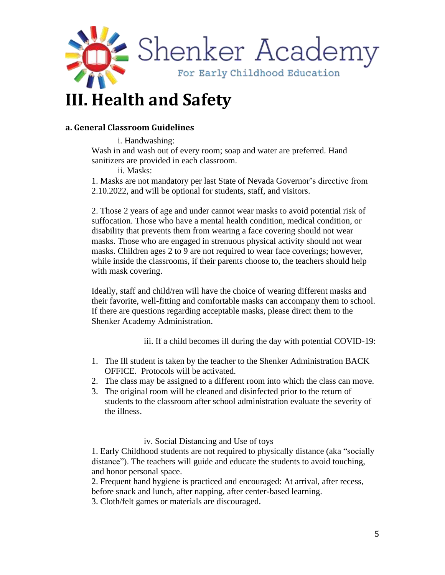

## **III. Health and Safety**

#### **a. General Classroom Guidelines**

i. Handwashing: Wash in and wash out of every room; soap and water are preferred. Hand sanitizers are provided in each classroom.

ii. Masks:

1. Masks are not mandatory per last State of Nevada Governor's directive from 2.10.2022, and will be optional for students, staff, and visitors.

2. Those 2 years of age and under cannot wear masks to avoid potential risk of suffocation. Those who have a mental health condition, medical condition, or disability that prevents them from wearing a face covering should not wear masks. Those who are engaged in strenuous physical activity should not wear masks. Children ages 2 to 9 are not required to wear face coverings; however, while inside the classrooms, if their parents choose to, the teachers should help with mask covering.

Ideally, staff and child/ren will have the choice of wearing different masks and their favorite, well-fitting and comfortable masks can accompany them to school. If there are questions regarding acceptable masks, please direct them to the Shenker Academy Administration.

iii. If a child becomes ill during the day with potential COVID-19:

- 1. The Ill student is taken by the teacher to the Shenker Administration BACK OFFICE. Protocols will be activated.
- 2. The class may be assigned to a different room into which the class can move.
- 3. The original room will be cleaned and disinfected prior to the return of students to the classroom after school administration evaluate the severity of the illness.

iv. Social Distancing and Use of toys

1. Early Childhood students are not required to physically distance (aka "socially distance"). The teachers will guide and educate the students to avoid touching, and honor personal space.

2. Frequent hand hygiene is practiced and encouraged: At arrival, after recess, before snack and lunch, after napping, after center-based learning.

3. Cloth/felt games or materials are discouraged.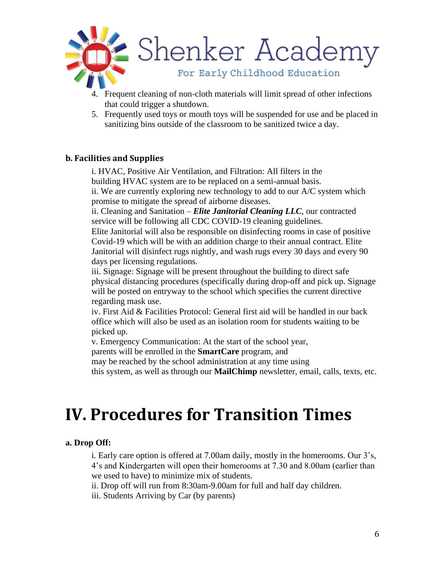

- 4. Frequent cleaning of non-cloth materials will limit spread of other infections that could trigger a shutdown.
- 5. Frequently used toys or mouth toys will be suspended for use and be placed in sanitizing bins outside of the classroom to be sanitized twice a day.

#### **b. Facilities and Supplies**

i. HVAC, Positive Air Ventilation, and Filtration: All filters in the building HVAC system are to be replaced on a semi-annual basis. ii. We are currently exploring new technology to add to our A/C system which promise to mitigate the spread of airborne diseases.

ii. Cleaning and Sanitation – *Elite Janitorial Cleaning LLC*, our contracted service will be following all CDC COVID-19 cleaning guidelines.

Elite Janitorial will also be responsible on disinfecting rooms in case of positive Covid-19 which will be with an addition charge to their annual contract. Elite Janitorial will disinfect rugs nightly, and wash rugs every 30 days and every 90 days per licensing regulations.

iii. Signage: Signage will be present throughout the building to direct safe physical distancing procedures (specifically during drop-off and pick up. Signage will be posted on entryway to the school which specifies the current directive regarding mask use.

iv. First Aid & Facilities Protocol: General first aid will be handled in our back office which will also be used as an isolation room for students waiting to be picked up.

v. Emergency Communication: At the start of the school year,

parents will be enrolled in the **SmartCare** program, and

may be reached by the school administration at any time using

this system, as well as through our **MailChimp** newsletter, email, calls, texts, etc.

## **IV. Procedures for Transition Times**

#### **a. Drop Off:**

i. Early care option is offered at 7.00am daily, mostly in the homerooms. Our 3's, 4's and Kindergarten will open their homerooms at 7.30 and 8.00am (earlier than we used to have) to minimize mix of students.

ii. Drop off will run from 8:30am-9.00am for full and half day children.

iii. Students Arriving by Car (by parents)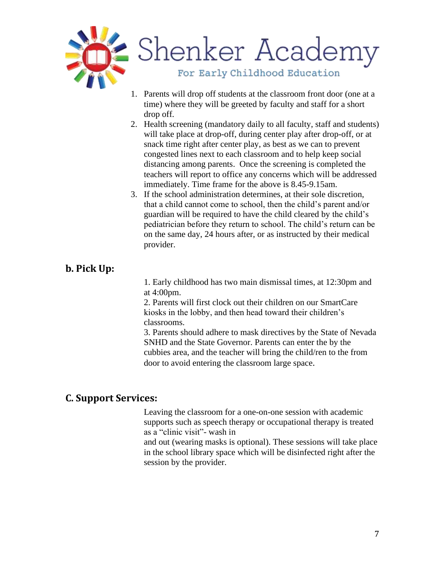

- 1. Parents will drop off students at the classroom front door (one at a time) where they will be greeted by faculty and staff for a short drop off.
- 2. Health screening (mandatory daily to all faculty, staff and students) will take place at drop-off, during center play after drop-off, or at snack time right after center play, as best as we can to prevent congested lines next to each classroom and to help keep social distancing among parents. Once the screening is completed the teachers will report to office any concerns which will be addressed immediately. Time frame for the above is 8.45-9.15am.
- 3. If the school administration determines, at their sole discretion, that a child cannot come to school, then the child's parent and/or guardian will be required to have the child cleared by the child's pediatrician before they return to school. The child's return can be on the same day, 24 hours after, or as instructed by their medical provider.

### **b. Pick Up:**

1. Early childhood has two main dismissal times, at 12:30pm and at 4:00pm.

2. Parents will first clock out their children on our SmartCare kiosks in the lobby, and then head toward their children's classrooms.

3. Parents should adhere to mask directives by the State of Nevada SNHD and the State Governor. Parents can enter the by the cubbies area, and the teacher will bring the child/ren to the from door to avoid entering the classroom large space.

### **C. Support Services:**

Leaving the classroom for a one-on-one session with academic supports such as speech therapy or occupational therapy is treated as a "clinic visit"- wash in

and out (wearing masks is optional). These sessions will take place in the school library space which will be disinfected right after the session by the provider.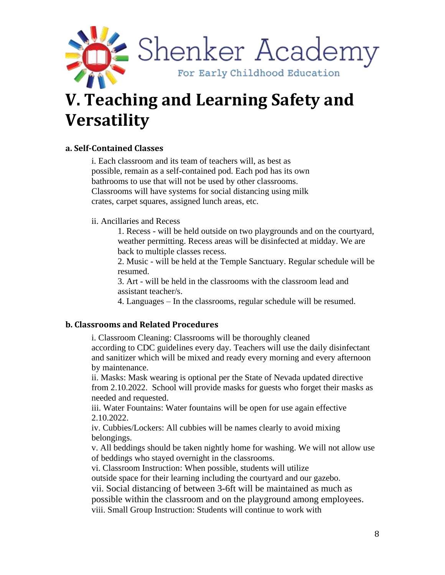

# **V. Teaching and Learning Safety and Versatility**

#### **a. Self-Contained Classes**

i. Each classroom and its team of teachers will, as best as possible, remain as a self-contained pod. Each pod has its own bathrooms to use that will not be used by other classrooms. Classrooms will have systems for social distancing using milk crates, carpet squares, assigned lunch areas, etc.

#### ii. Ancillaries and Recess

1. Recess - will be held outside on two playgrounds and on the courtyard, weather permitting. Recess areas will be disinfected at midday. We are back to multiple classes recess.

2. Music - will be held at the Temple Sanctuary. Regular schedule will be resumed.

3. Art - will be held in the classrooms with the classroom lead and assistant teacher/s.

4. Languages – In the classrooms, regular schedule will be resumed.

#### **b. Classrooms and Related Procedures**

i. Classroom Cleaning: Classrooms will be thoroughly cleaned according to CDC guidelines every day. Teachers will use the daily disinfectant and sanitizer which will be mixed and ready every morning and every afternoon by maintenance.

ii. Masks: Mask wearing is optional per the State of Nevada updated directive from 2.10.2022. School will provide masks for guests who forget their masks as needed and requested.

iii. Water Fountains: Water fountains will be open for use again effective 2.10.2022.

iv. Cubbies/Lockers: All cubbies will be names clearly to avoid mixing belongings.

v. All beddings should be taken nightly home for washing. We will not allow use of beddings who stayed overnight in the classrooms.

vi. Classroom Instruction: When possible, students will utilize

outside space for their learning including the courtyard and our gazebo.

vii. Social distancing of between 3-6ft will be maintained as much as

possible within the classroom and on the playground among employees.

viii. Small Group Instruction: Students will continue to work with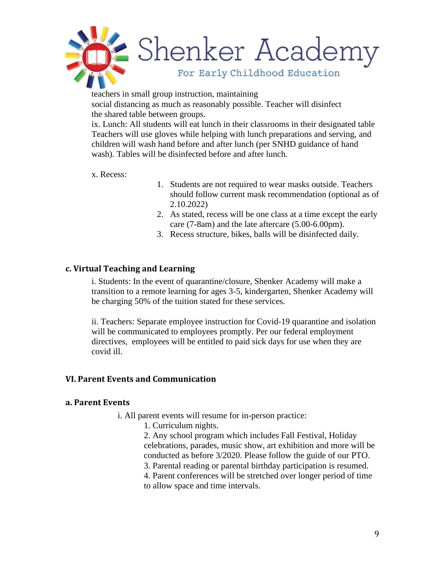

teachers in small group instruction, maintaining social distancing as much as reasonably possible. Teacher will disinfect the shared table between groups.

ix. Lunch: All students will eat lunch in their classrooms in their designated table Teachers will use gloves while helping with lunch preparations and serving, and children will wash hand before and after lunch (per SNHD guidance of hand wash). Tables will be disinfected before and after lunch.

#### x. Recess:

- 1. Students are not required to wear masks outside. Teachers should follow current mask recommendation (optional as of 2.10.2022)
- 2. As stated, recess will be one class at a time except the early care (7-8am) and the late aftercare (5.00-6.00pm).
- 3. Recess structure, bikes, balls will be disinfected daily.

#### **c. Virtual Teaching and Learning**

i. Students: In the event of quarantine/closure, Shenker Academy will make a transition to a remote learning for ages 3-5, kindergarten, Shenker Academy will be charging 50% of the tuition stated for these services.

ii. Teachers: Separate employee instruction for Covid-19 quarantine and isolation will be communicated to employees promptly. Per our federal employment directives, employees will be entitled to paid sick days for use when they are covid ill.

#### **VI. Parent Events and Communication**

#### **a. Parent Events**

i. All parent events will resume for in-person practice:

1. Curriculum nights.

2. Any school program which includes Fall Festival, Holiday celebrations, parades, music show, art exhibition and more will be conducted as before 3/2020. Please follow the guide of our PTO. 3. Parental reading or parental birthday participation is resumed. 4. Parent conferences will be stretched over longer period of time

to allow space and time intervals.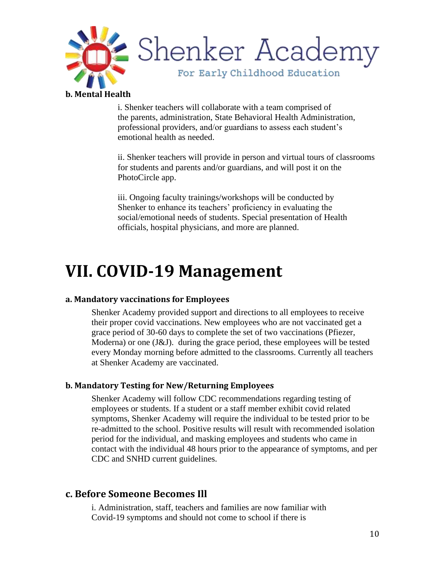

#### **b. Mental Health**

i. Shenker teachers will collaborate with a team comprised of the parents, administration, State Behavioral Health Administration, professional providers, and/or guardians to assess each student's emotional health as needed.

ii. Shenker teachers will provide in person and virtual tours of classrooms for students and parents and/or guardians, and will post it on the PhotoCircle app.

iii. Ongoing faculty trainings/workshops will be conducted by Shenker to enhance its teachers' proficiency in evaluating the social/emotional needs of students. Special presentation of Health officials, hospital physicians, and more are planned.

### **VII. COVID-19 Management**

#### **a. Mandatory vaccinations for Employees**

Shenker Academy provided support and directions to all employees to receive their proper covid vaccinations. New employees who are not vaccinated get a grace period of 30-60 days to complete the set of two vaccinations (Pfiezer, Moderna) or one (J&J). during the grace period, these employees will be tested every Monday morning before admitted to the classrooms. Currently all teachers at Shenker Academy are vaccinated.

#### **b. Mandatory Testing for New/Returning Employees**

Shenker Academy will follow CDC recommendations regarding testing of employees or students. If a student or a staff member exhibit covid related symptoms, Shenker Academy will require the individual to be tested prior to be re-admitted to the school. Positive results will result with recommended isolation period for the individual, and masking employees and students who came in contact with the individual 48 hours prior to the appearance of symptoms, and per CDC and SNHD current guidelines.

### **c. Before Someone Becomes Ill**

i. Administration, staff, teachers and families are now familiar with Covid-19 symptoms and should not come to school if there is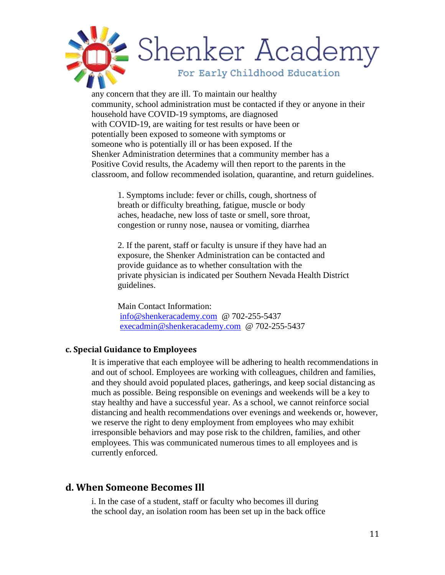

any concern that they are ill. To maintain our healthy community, school administration must be contacted if they or anyone in their household have COVID-19 symptoms, are diagnosed with COVID-19, are waiting for test results or have been or potentially been exposed to someone with symptoms or someone who is potentially ill or has been exposed. If the Shenker Administration determines that a community member has a Positive Covid results, the Academy will then report to the parents in the classroom, and follow recommended isolation, quarantine, and return guidelines.

1. Symptoms include: fever or chills, cough, shortness of breath or difficulty breathing, fatigue, muscle or body aches, headache, new loss of taste or smell, sore throat, congestion or runny nose, nausea or vomiting, diarrhea

2. If the parent, staff or faculty is unsure if they have had an exposure, the Shenker Administration can be contacted and provide guidance as to whether consultation with the private physician is indicated per Southern Nevada Health District guidelines.

Main Contact Information: info@shenkeracademy.com @ 702-255-5437 execadmin@shenkeracademy.com @ 702-255-5437

#### **c. Special Guidance to Employees**

It is imperative that each employee will be adhering to health recommendations in and out of school. Employees are working with colleagues, children and families, and they should avoid populated places, gatherings, and keep social distancing as much as possible. Being responsible on evenings and weekends will be a key to stay healthy and have a successful year. As a school, we cannot reinforce social distancing and health recommendations over evenings and weekends or, however, we reserve the right to deny employment from employees who may exhibit irresponsible behaviors and may pose risk to the children, families, and other employees. This was communicated numerous times to all employees and is currently enforced.

#### **d. When Someone Becomes Ill**

i. In the case of a student, staff or faculty who becomes ill during the school day, an isolation room has been set up in the back office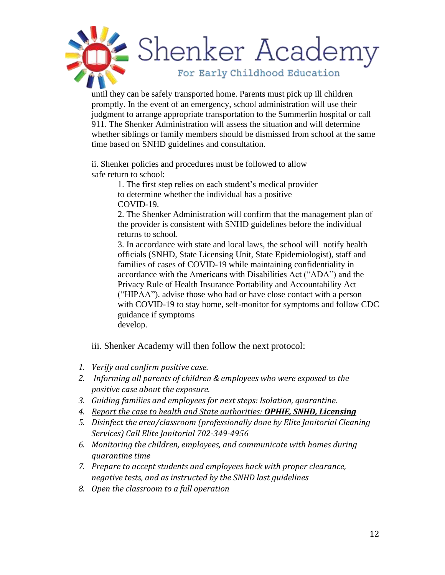

until they can be safely transported home. Parents must pick up ill children promptly. In the event of an emergency, school administration will use their judgment to arrange appropriate transportation to the Summerlin hospital or call 911. The Shenker Administration will assess the situation and will determine whether siblings or family members should be dismissed from school at the same time based on SNHD guidelines and consultation.

ii. Shenker policies and procedures must be followed to allow safe return to school:

> 1. The first step relies on each student's medical provider to determine whether the individual has a positive COVID-19.

2. The Shenker Administration will confirm that the management plan of the provider is consistent with SNHD guidelines before the individual returns to school.

3. In accordance with state and local laws, the school will notify health officials (SNHD, State Licensing Unit, State Epidemiologist), staff and families of cases of COVID-19 while maintaining confidentiality in accordance with the Americans with Disabilities Act ("ADA") and the Privacy Rule of Health Insurance Portability and Accountability Act ("HIPAA"). advise those who had or have close contact with a person with COVID-19 to stay home, self-monitor for symptoms and follow CDC guidance if symptoms develop.

iii. Shenker Academy will then follow the next protocol:

- *1. Verify and confirm positive case.*
- *2. Informing all parents of children & employees who were exposed to the positive case about the exposure.*
- *3. Guiding families and employees for next steps: Isolation, quarantine.*
- *4. Report the case to health and State authorities: OPHIE, SNHD, Licensing*
- *5. Disinfect the area/classroom (professionally done by Elite Janitorial Cleaning Services) Call Elite Janitorial 702-349-4956*
- *6. Monitoring the children, employees, and communicate with homes during quarantine time*
- *7. Prepare to accept students and employees back with proper clearance, negative tests, and as instructed by the SNHD last guidelines*
- *8. Open the classroom to a full operation*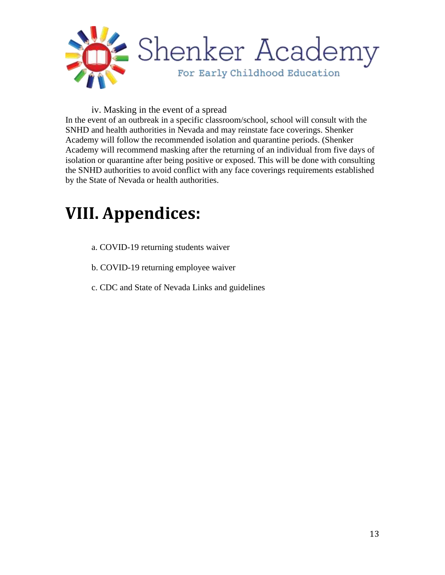

#### iv. Masking in the event of a spread

In the event of an outbreak in a specific classroom/school, school will consult with the SNHD and health authorities in Nevada and may reinstate face coverings. Shenker Academy will follow the recommended isolation and quarantine periods. (Shenker Academy will recommend masking after the returning of an individual from five days of isolation or quarantine after being positive or exposed. This will be done with consulting the SNHD authorities to avoid conflict with any face coverings requirements established by the State of Nevada or health authorities.

### **VIII. Appendices:**

- a. COVID-19 returning students waiver
- b. COVID-19 returning employee waiver
- c. CDC and State of Nevada Links and guidelines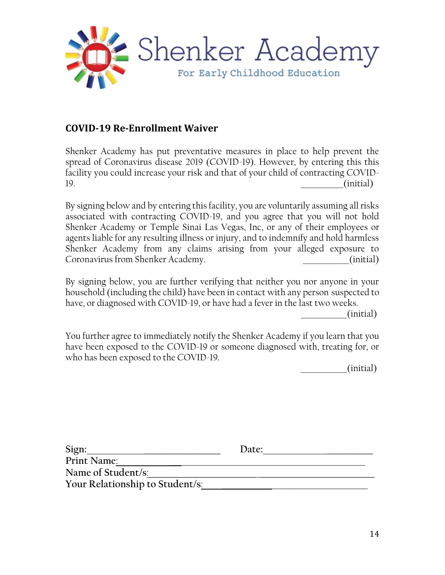

### **COVID-19 Re-Enrollment Waiver**

Shenker Academy has put preventative measures in place to help prevent the spread of Coronavirus disease 2019 (COVID-19). However, by entering this this facility you could increase your risk and that of your child of contracting COVID-19. \_\_\_\_\_\_\_\_\_\_\_\_(initial)

By signing below and by entering this facility, you are voluntarily assuming all risks associated with contracting COVID-19, and you agree that you will not hold Shenker Academy or Temple Sinai Las Vegas, Inc, or any of their employees or agents liable for any resulting illness or injury, and to indemnify and hold harmless Shenker Academy from any claims arising from your alleged exposure to Coronavirus from Shenker Academy. \_\_\_\_\_\_\_\_\_\_\_\_\_(initial)

By signing below, you are further verifying that neither you nor anyone in your household (including the child) have been in contact with any person suspected to have, or diagnosed with COVID-19, or have had a fever in the last two weeks.

 $(i$ nitial)

You further agree to immediately notify the Shenker Academy if you learn that you have been exposed to the COVID-19 or someone diagnosed with, treating for, or who has been exposed to the COVID-19.

 $(i$ nitial $)$ 

| Sign:                           | Date: |
|---------------------------------|-------|
| Print Name:                     |       |
| Name of Student/s:              |       |
| Your Relationship to Student/s: |       |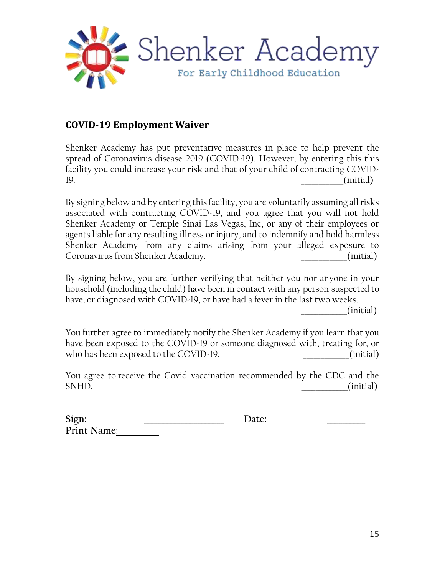

### **COVID-19 Employment Waiver**

Shenker Academy has put preventative measures in place to help prevent the spread of Coronavirus disease 2019 (COVID-19). However, by entering this this facility you could increase your risk and that of your child of contracting COVID-19. \_\_\_\_\_\_\_\_\_\_\_\_(initial)

By signing below and by entering this facility, you are voluntarily assuming all risks associated with contracting COVID-19, and you agree that you will not hold Shenker Academy or Temple Sinai Las Vegas, Inc, or any of their employees or agents liable for any resulting illness or injury, and to indemnify and hold harmless Shenker Academy from any claims arising from your alleged exposure to Coronavirus from Shenker Academy. \_\_\_\_\_\_\_\_\_\_\_\_\_(initial)

By signing below, you are further verifying that neither you nor anyone in your household (including the child) have been in contact with any person suspected to have, or diagnosed with COVID-19, or have had a fever in the last two weeks.

 $(i$ nitial)

You further agree to immediately notify the Shenker Academy if you learn that you have been exposed to the COVID-19 or someone diagnosed with, treating for, or who has been exposed to the COVID-19.  $\qquad \qquad \text{(initial)}$ 

You agree to receive the Covid vaccination recommended by the CDC and the SNHD. \_\_\_\_\_\_\_\_\_\_\_\_\_(initial)

| Sign:       | Jate: |  |
|-------------|-------|--|
| Print Name: |       |  |